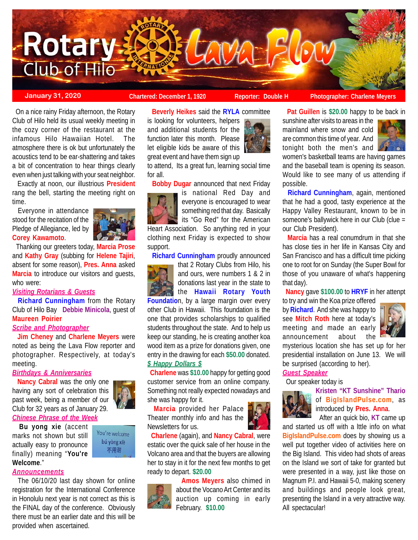

**Beverly Heikes** said the **RYLA** committee

to attend, Its a great fun, learning social time

**Bobby Dugar** announced that next Friday

Heart Association. So anything red in your clothing next Friday is expected to show

**Richard Cunningham** proudly announced

**Foundation**, by a large margin over every other Club in Hawaii. This foundation is the one that provides scholarships to qualified students throughout the state. And to help us keep our standing, he is creating another koa wood item as a prize for donations given, one entry in the drawing for each **\$50.00** donated.

 **Charlene** was **\$10.00** happy for getting good customer service from an online company. Something not really expected nowadays and

 **Charlene** (again), and **Nancy Cabral**, were estatic over the quick sale of her house in the Volcano area and that the buyers are allowing her to stay in it for the next few months to get

 **Marcia** provided her Palace Theater monthly info and has the

that 2 Rotary Clubs from Hilo, his and ours, were numbers 1 & 2 in donations last year in the state to the **Hawaii Rotary Youth**

is national Red Day and everyone is encouraged to wear something red that day. Basically its "Go Red" for the American

for all.

support.

*\$ Happy Dollars \$*

she was happy for it.

Newsletters for us.

**January 31, 2020 Chartered: December 1, 1920** Reporter: Double H Photographer: Charlene Meyer

 On a nice rainy Friday afternoon, the Rotary Club of Hilo held its usual weekly meeting in the cozy corner of the restaurant at the infamous Hilo Hawaiian Hotel. The atmosphere there is ok but unfortunately the acoustics tend to be ear-shattering and takes a bit of concentration to hear things clearly even when just talking with your seat neighbor.

 Exactly at noon, our illustrious **President** rang the bell, starting the meeting right on time.

 Everyone in attendance stood for the recitation of the Pledge of Allegiance, led by **Corey Kawamoto**.



 Thanking our greeters today, **Marcia Prose** and **Kathy Gray** (subbing for **Helene Tajiri**, absent for some reason), **Pres. Anna** asked **Marcia** to introduce our visitors and guests, who were:

*Visiting Rotarians & Guests*

 **Richard Cunningham** from the Rotary Club of Hilo Bay **Debbie Minicola**, guest of **Maureen Poirier**

## *Scribe and Photographer*

 **Jim Cheney** and **Charlene Meyers** were noted as being the Lava Flow reporter and photographer. Respectively, at today's meeting.

## *Birthdays & Anniversaries*

 **Nancy Cabral** was the only one having any sort of celebration this past week, being a member of our Club for 32 years as of January 29. *Chinese Phrase of the Week*

 **Bu yong xie** (accent marks not shown but still actually easy to pronounce finally) meaning "**You're Welcome**."



is looking for volunteers, helpers and additional students for the function later this month. Please let eligible kids be aware of this great event and have them sign up

**Pat Guillen** is **\$20.00** happy to be back in

sunshine after visits to areas in the mainland where snow and cold are common this time of year. And tonight both the men's and



women's basketball teams are having games and the baseball team is opening its season. Would like to see many of us attending if possible.

 **Richard Cunningham**, again, mentioned that he had a good, tasty experience at the Happy Valley Restaurant, known to be in someone's ballywick here in our Club (clue = our Club President).

 **Marcia** has a real conumdrum in that she has close ties in her life in Kansas City and San Francisco and has a difficult time picking one to root for on Sunday (the Super Bowl for those of you unaware of what's happening that day).

**Nancy** gave **\$100.00** to **HRYF** in her attenpt

to try and win the Koa prize offered by **Richard**. And she was happy to see **Mitch Roth** here at today's meeting and made an early announcement about the



mysterious location she has set up for her presidential installation on June 13. We will be surprised (according to her).

# *Guest Speaker*

Our speaker today is



**Kristen "KT Sunshine" Thario** of **BigIslandPulse.com**, as introduced by **Pres. Anna**. After an quick bio, **KT** came up

and started us off with a lttle info on what **BigIslandPulse.com** does by showing us a well put together video of activities here on the Big Island. This video had shots of areas on the Island we sort of take for granted but were presented in a way, just like those on Magnum P.I. and Hawaii 5-0, making scenery and buildings and people look great, presenting the Island in a very attractive way. All spectacular!

You're welcome bú yòng xiè

不用谢

#### *Announcements*

 The 06/10/20 last day shown for online registration for the International Conference in Honolulu next year is not correct as this is the FINAL day of the conference. Obviously there must be an earlier date and this will be provided when ascertained.